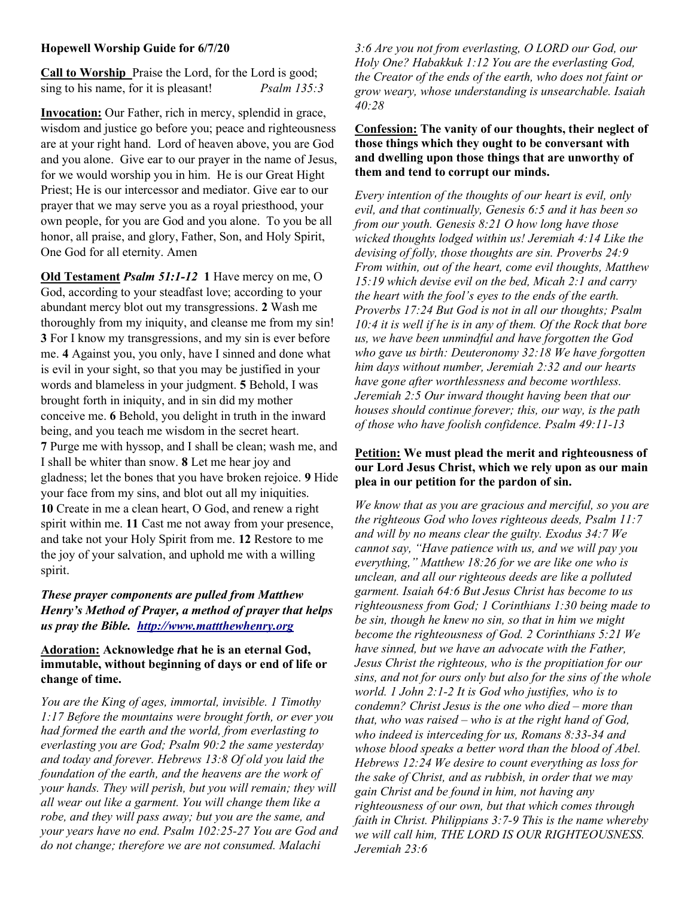## Hopewell Worship Guide for 6/7/20

Call to Worship Praise the Lord, for the Lord is good; sing to his name, for it is pleasant! *Psalm 135:3* 

Invocation: Our Father, rich in mercy, splendid in grace, wisdom and justice go before you; peace and righteousness are at your right hand. Lord of heaven above, you are God and you alone. Give ear to our prayer in the name of Jesus, for we would worship you in him. He is our Great Hight Priest; He is our intercessor and mediator. Give ear to our prayer that we may serve you as a royal priesthood, your own people, for you are God and you alone. To you be all honor, all praise, and glory, Father, Son, and Holy Spirit, One God for all eternity. Amen

Old Testament Psalm 51:1-12 1 Have mercy on me, O God, according to your steadfast love; according to your abundant mercy blot out my transgressions. 2 Wash me thoroughly from my iniquity, and cleanse me from my sin! 3 For I know my transgressions, and my sin is ever before me. 4 Against you, you only, have I sinned and done what is evil in your sight, so that you may be justified in your words and blameless in your judgment. 5 Behold, I was brought forth in iniquity, and in sin did my mother conceive me. 6 Behold, you delight in truth in the inward being, and you teach me wisdom in the secret heart. 7 Purge me with hyssop, and I shall be clean; wash me, and I shall be whiter than snow. 8 Let me hear joy and gladness; let the bones that you have broken rejoice. 9 Hide your face from my sins, and blot out all my iniquities. 10 Create in me a clean heart, O God, and renew a right spirit within me. 11 Cast me not away from your presence, and take not your Holy Spirit from me. 12 Restore to me the joy of your salvation, and uphold me with a willing spirit.

## These prayer components are pulled from Matthew Henry's Method of Prayer, a method of prayer that helps us pray the Bible. http://www.mattthewhenry.org

## Adoration: Acknowledge that he is an eternal God, immutable, without beginning of days or end of life or change of time.

You are the King of ages, immortal, invisible. 1 Timothy 1:17 Before the mountains were brought forth, or ever you had formed the earth and the world, from everlasting to everlasting you are God; Psalm 90:2 the same yesterday and today and forever. Hebrews 13:8 Of old you laid the foundation of the earth, and the heavens are the work of your hands. They will perish, but you will remain; they will all wear out like a garment. You will change them like a robe, and they will pass away; but you are the same, and your years have no end. Psalm 102:25-27 You are God and do not change; therefore we are not consumed. Malachi

3:6 Are you not from everlasting, O LORD our God, our Holy One? Habakkuk 1:12 You are the everlasting God, the Creator of the ends of the earth, who does not faint or grow weary, whose understanding is unsearchable. Isaiah 40:28

#### Confession: The vanity of our thoughts, their neglect of those things which they ought to be conversant with and dwelling upon those things that are unworthy of them and tend to corrupt our minds.

Every intention of the thoughts of our heart is evil, only evil, and that continually, Genesis 6:5 and it has been so from our youth. Genesis 8:21 O how long have those wicked thoughts lodged within us! Jeremiah 4:14 Like the devising of folly, those thoughts are sin. Proverbs 24:9 From within, out of the heart, come evil thoughts, Matthew 15:19 which devise evil on the bed, Micah 2:1 and carry the heart with the fool's eyes to the ends of the earth. Proverbs 17:24 But God is not in all our thoughts; Psalm 10:4 it is well if he is in any of them. Of the Rock that bore us, we have been unmindful and have forgotten the God who gave us birth: Deuteronomy 32:18 We have forgotten him days without number, Jeremiah 2:32 and our hearts have gone after worthlessness and become worthless. Jeremiah 2:5 Our inward thought having been that our houses should continue forever; this, our way, is the path of those who have foolish confidence. Psalm 49:11-13

## Petition: We must plead the merit and righteousness of our Lord Jesus Christ, which we rely upon as our main plea in our petition for the pardon of sin.

We know that as you are gracious and merciful, so you are the righteous God who loves righteous deeds, Psalm 11:7 and will by no means clear the guilty. Exodus 34:7 We cannot say, "Have patience with us, and we will pay you everything," Matthew 18:26 for we are like one who is unclean, and all our righteous deeds are like a polluted garment. Isaiah 64:6 But Jesus Christ has become to us righteousness from God; 1 Corinthians 1:30 being made to be sin, though he knew no sin, so that in him we might become the righteousness of God. 2 Corinthians 5:21 We have sinned, but we have an advocate with the Father, Jesus Christ the righteous, who is the propitiation for our sins, and not for ours only but also for the sins of the whole world. 1 John 2:1-2 It is God who justifies, who is to condemn? Christ Jesus is the one who died – more than that, who was raised – who is at the right hand of God, who indeed is interceding for us, Romans 8:33-34 and whose blood speaks a better word than the blood of Abel. Hebrews 12:24 We desire to count everything as loss for the sake of Christ, and as rubbish, in order that we may gain Christ and be found in him, not having any righteousness of our own, but that which comes through faith in Christ. Philippians 3:7-9 This is the name whereby we will call him, THE LORD IS OUR RIGHTEOUSNESS. Jeremiah 23:6